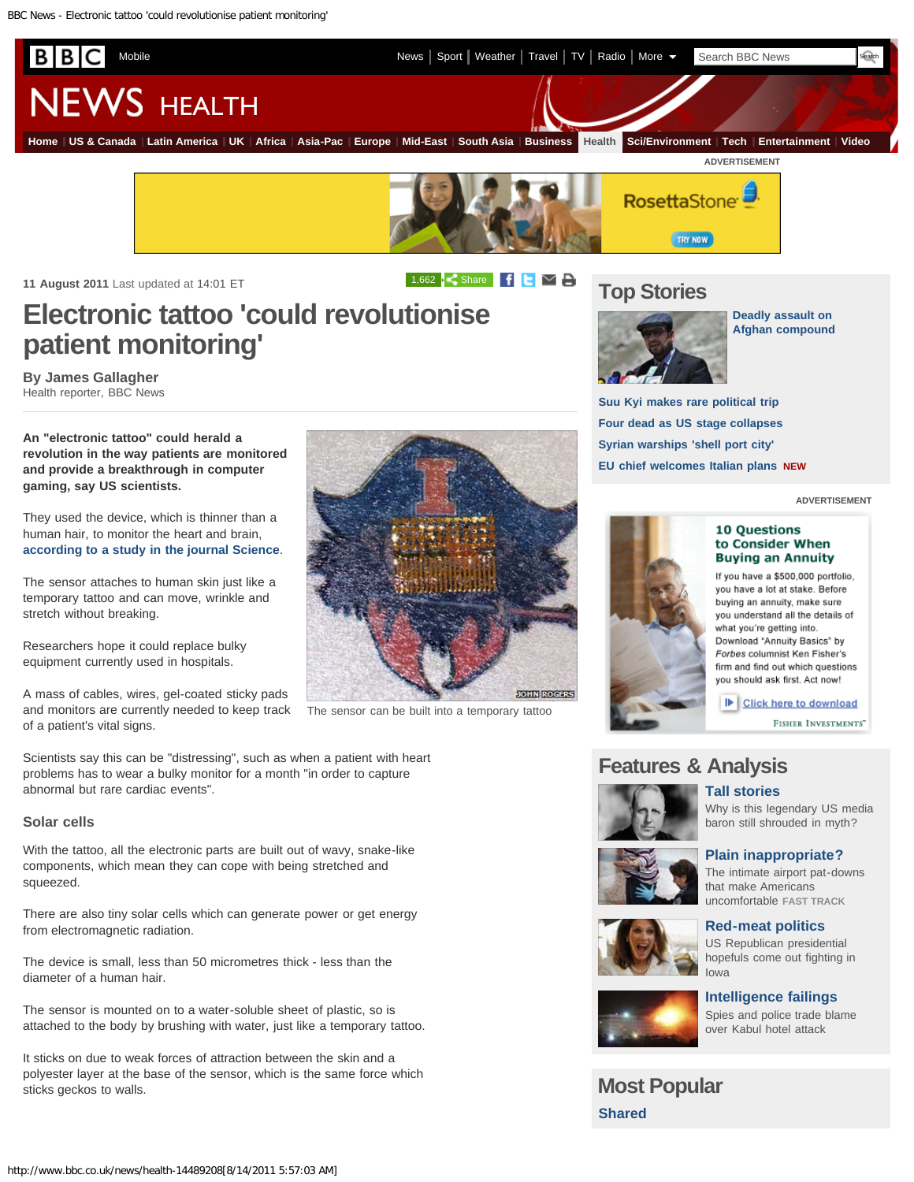<span id="page-0-0"></span>

**11 August 2011** Last updated at 14:01 ET

1,662 [Share](#page-0-0)  $f \mid \blacksquare$ 

# **Electronic tattoo 'could revolutionise patient monitoring'**

**By James Gallagher** Health reporter, BBC News

**An "electronic tattoo" could herald a revolution in the way patients are monitored and provide a breakthrough in computer gaming, say US scientists.**

They used the device, which is thinner than a human hair, to monitor the heart and brain, **[according to a study in the journal Science](http://www.sciencemag.org/content/333/6044/838.abstract)**.

The sensor attaches to human skin just like a temporary tattoo and can move, wrinkle and stretch without breaking.

Researchers hope it could replace bulky equipment currently used in hospitals.

A mass of cables, wires, gel-coated sticky pads and monitors are currently needed to keep track of a patient's vital signs.

Scientists say this can be "distressing", such as when a patient with heart problems has to wear a bulky monitor for a month "in order to capture abnormal but rare cardiac events".

#### **Solar cells**

With the tattoo, all the electronic parts are built out of wavy, snake-like components, which mean they can cope with being stretched and squeezed.

There are also tiny solar cells which can generate power or get energy from electromagnetic radiation.

The device is small, less than 50 micrometres thick - less than the diameter of a human hair.

The sensor is mounted on to a water-soluble sheet of plastic, so is attached to the body by brushing with water, just like a temporary tattoo.

It sticks on due to weak forces of attraction between the skin and a polyester layer at the base of the sensor, which is the same force which sticks geckos to walls.



The sensor can be built into a temporary tattoo

# **Top Stories**



**[Deadly assault on](http://www.bbc.co.uk/news/world-south-asia-14520520) [Afghan compound](http://www.bbc.co.uk/news/world-south-asia-14520520)**

**[Suu Kyi makes rare political trip](http://www.bbc.co.uk/news/world-asia-pacific-14520263) [Four dead as US stage collapses](http://www.bbc.co.uk/news/world-us-canada-14520194) [Syrian warships 'shell port city'](http://www.bbc.co.uk/news/world-middle-east-14520830) [EU chief welcomes Italian plans NEW](http://www.bbc.co.uk/news/business-14520895)**

**[ADVERTISEMENT](http://faq.external.bbc.co.uk/questions/bbc_online/adverts_general)**



#### **10 Ouestions** to Consider When **Buying an Annuity**

If you have a \$500,000 portfolio, vou have a lot at stake. Before buying an annuity, make sure you understand all the details of what you're getting into. Download 'Annuity Basics' by Forbes columnist Ken Fisher's firm and find out which questions you should ask first. Act now!

ID Click here to download

**FISHER INVESTMENTS®** 

# **Features & Analysis**



Why is this legendary US media baron still shrouded in myth?

#### **[Plain inappropriate?](http://www.bbc.co.uk/2/hi/programmes/fast_track/9561167.stm)**

The intimate airport pat-downs that make Americans uncomfortable **[FAST TRACK](http://www.bbc.co.uk/2/hi/programmes/fast_track/default.stm)**



### **[Red-meat politics](http://www.bbc.co.uk/news/world-us-canada-14520056)**

US Republican presidential hopefuls come out fighting in Iowa



#### Spies and police trade blame **[Intelligence failings](http://www.bbc.co.uk/news/world-south-asia-14379194)**

over Kabul hotel attack

**Most Popular [Shared](#page-0-0)**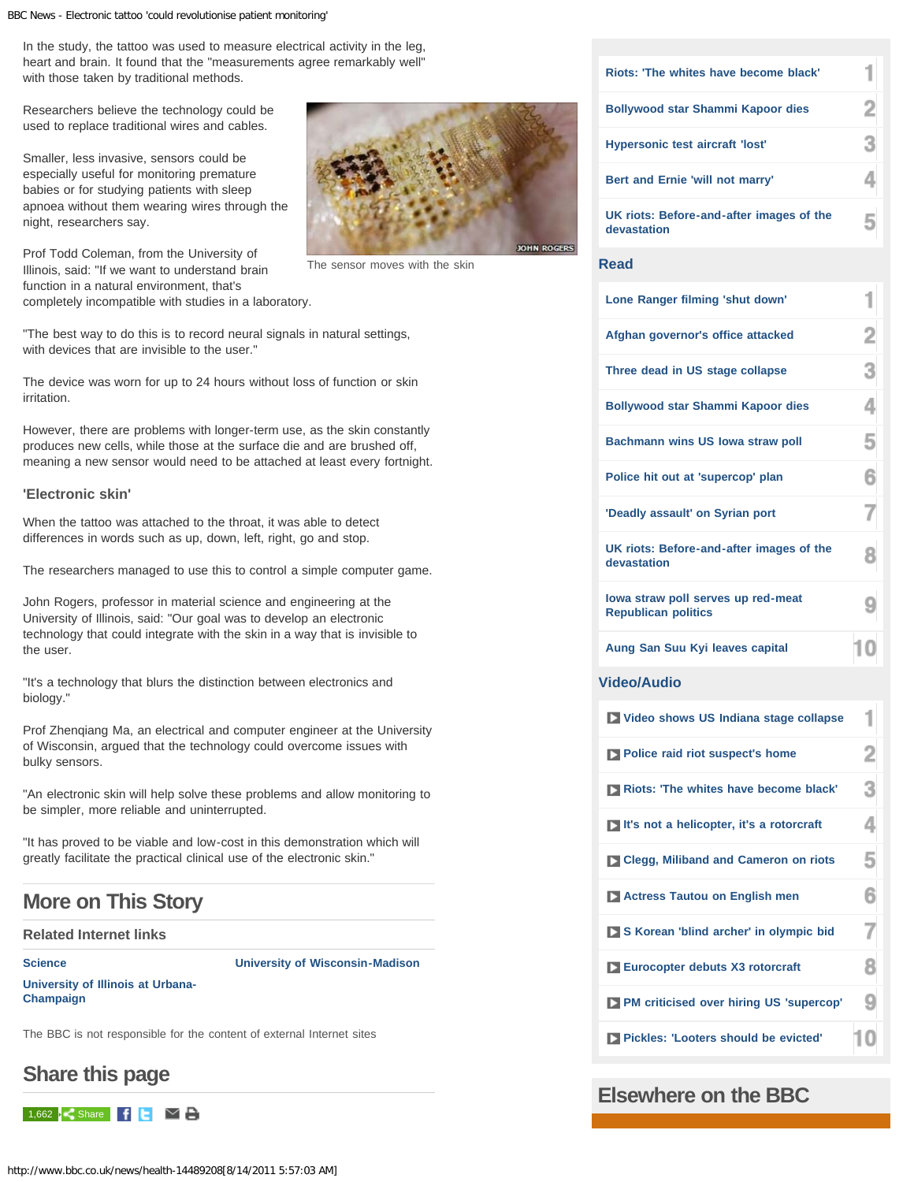BBC News - Electronic tattoo 'could revolutionise patient monitoring'

In the study, the tattoo was used to measure electrical activity in the leg, heart and brain. It found that the "measurements agree remarkably well" with those taken by traditional methods.

Researchers believe the technology could be used to replace traditional wires and cables.

Smaller, less invasive, sensors could be especially useful for monitoring premature babies or for studying patients with sleep apnoea without them wearing wires through the night, researchers say.



The sensor moves with the skin

Prof Todd Coleman, from the University of Illinois, said: "If we want to understand brain function in a natural environment, that's completely incompatible with studies in a laboratory.

"The best way to do this is to record neural signals in natural settings, with devices that are invisible to the user."

The device was worn for up to 24 hours without loss of function or skin irritation.

However, there are problems with longer-term use, as the skin constantly produces new cells, while those at the surface die and are brushed off, meaning a new sensor would need to be attached at least every fortnight.

#### **'Electronic skin'**

When the tattoo was attached to the throat, it was able to detect differences in words such as up, down, left, right, go and stop.

The researchers managed to use this to control a simple computer game.

John Rogers, professor in material science and engineering at the University of Illinois, said: "Our goal was to develop an electronic technology that could integrate with the skin in a way that is invisible to the user.

"It's a technology that blurs the distinction between electronics and biology."

Prof Zhenqiang Ma, an electrical and computer engineer at the University of Wisconsin, argued that the technology could overcome issues with bulky sensors.

"An electronic skin will help solve these problems and allow monitoring to be simpler, more reliable and uninterrupted.

"It has proved to be viable and low-cost in this demonstration which will greatly facilitate the practical clinical use of the electronic skin."

## **More on This Story**

**Related Internet links**

#### **[Science](http://www.sciencemag.org/)**

**[University of Wisconsin-Madison](http://www.wisc.edu/)**

**[University of Illinois at Urbana-](http://illinois.edu/)[Champaign](http://illinois.edu/)**

The BBC is not responsible for the content of external Internet sites

# **Share this page**



| Riots: 'The whites have become black'                            | 1  |
|------------------------------------------------------------------|----|
| <b>Bollywood star Shammi Kapoor dies</b>                         | 2  |
| <b>Hypersonic test aircraft 'lost'</b>                           | 3  |
| Bert and Ernie 'will not marry'                                  | 4  |
| UK riots: Before-and-after images of the<br>devastation          | 5  |
| Read                                                             |    |
| Lone Ranger filming 'shut down'                                  | 1  |
| Afghan governor's office attacked                                | 2  |
| Three dead in US stage collapse                                  | 3  |
| <b>Bollywood star Shammi Kapoor dies</b>                         | 4  |
| Bachmann wins US lowa straw poll                                 | 5  |
| Police hit out at 'supercop' plan                                | 6  |
| 'Deadly assault' on Syrian port                                  | 7  |
| UK riots: Before-and-after images of the<br>devastation          | 8  |
| lowa straw poll serves up red-meat<br><b>Republican politics</b> | 9  |
| Aung San Suu Kyi leaves capital                                  | 10 |
| <b>Video/Audio</b>                                               |    |
| Video shows US Indiana stage collapse                            | 1  |
| Police raid riot suspect's home                                  | 2  |
| Riots: 'The whites have become black'                            | 3  |
| $\blacktriangleright$ It's not a helicopter, it's a rotorcraft   | 4  |
| <b>D</b> Clegg, Miliband and Cameron on riots                    | 5  |
| Actress Tautou on English men                                    | 6  |
| S Korean 'blind archer' in olympic bid                           |    |
| $\blacktriangleright$ Eurocopter debuts X3 rotorcraft            | B  |
| <b>E</b> PM criticised over hiring US 'supercop'                 |    |
| Pickles: 'Looters should be evicted'                             |    |

**Elsewhere on the BBC**